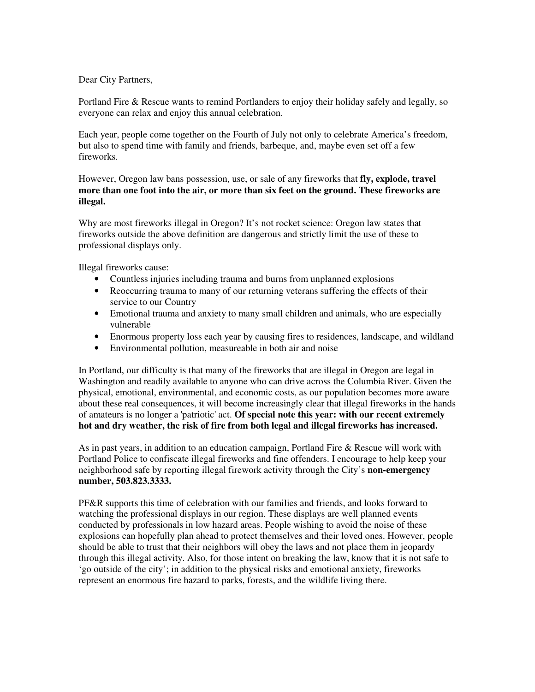## Dear City Partners,

Portland Fire & Rescue wants to remind Portlanders to enjoy their holiday safely and legally, so everyone can relax and enjoy this annual celebration.

Each year, people come together on the Fourth of July not only to celebrate America's freedom, but also to spend time with family and friends, barbeque, and, maybe even set off a few fireworks.

However, Oregon law bans possession, use, or sale of any fireworks that **fly, explode, travel more than one foot into the air, or more than six feet on the ground. These fireworks are illegal.** 

Why are most fireworks illegal in Oregon? It's not rocket science: Oregon law states that fireworks outside the above definition are dangerous and strictly limit the use of these to professional displays only.

Illegal fireworks cause:

- Countless injuries including trauma and burns from unplanned explosions
- Reoccurring trauma to many of our returning veterans suffering the effects of their service to our Country
- Emotional trauma and anxiety to many small children and animals, who are especially vulnerable
- Enormous property loss each year by causing fires to residences, landscape, and wildland
- Environmental pollution, measureable in both air and noise

In Portland, our difficulty is that many of the fireworks that are illegal in Oregon are legal in Washington and readily available to anyone who can drive across the Columbia River. Given the physical, emotional, environmental, and economic costs, as our population becomes more aware about these real consequences, it will become increasingly clear that illegal fireworks in the hands of amateurs is no longer a 'patriotic' act. **Of special note this year: with our recent extremely hot and dry weather, the risk of fire from both legal and illegal fireworks has increased.**

As in past years, in addition to an education campaign, Portland Fire & Rescue will work with Portland Police to confiscate illegal fireworks and fine offenders. I encourage to help keep your neighborhood safe by reporting illegal firework activity through the City's **non-emergency number, 503.823.3333.** 

PF&R supports this time of celebration with our families and friends, and looks forward to watching the professional displays in our region. These displays are well planned events conducted by professionals in low hazard areas. People wishing to avoid the noise of these explosions can hopefully plan ahead to protect themselves and their loved ones. However, people should be able to trust that their neighbors will obey the laws and not place them in jeopardy through this illegal activity. Also, for those intent on breaking the law, know that it is not safe to 'go outside of the city'; in addition to the physical risks and emotional anxiety, fireworks represent an enormous fire hazard to parks, forests, and the wildlife living there.